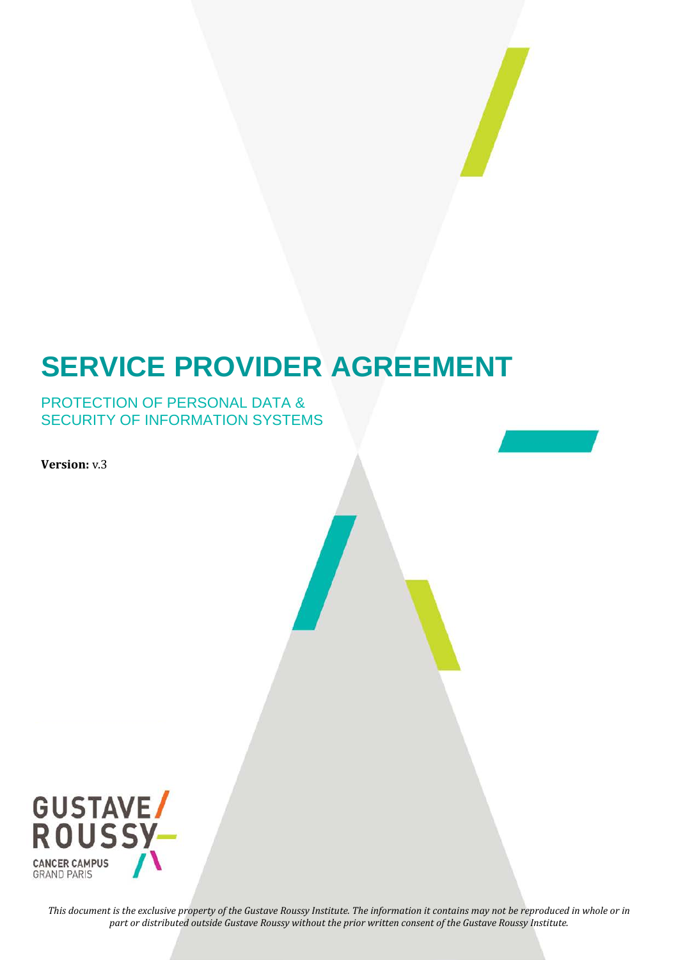

# **SERVICE PROVIDER AGREEMENT**

#### PROTECTION OF PERSONAL DATA & SECURITY OF INFORMATION SYSTEMS

**Version:** v.3



*This document is the exclusive property of the Gustave Roussy Institute. The information it contains may not be reproduced in whole or in part or distributed outside Gustave Roussy without the prior written consent of the Gustave Roussy Institute.*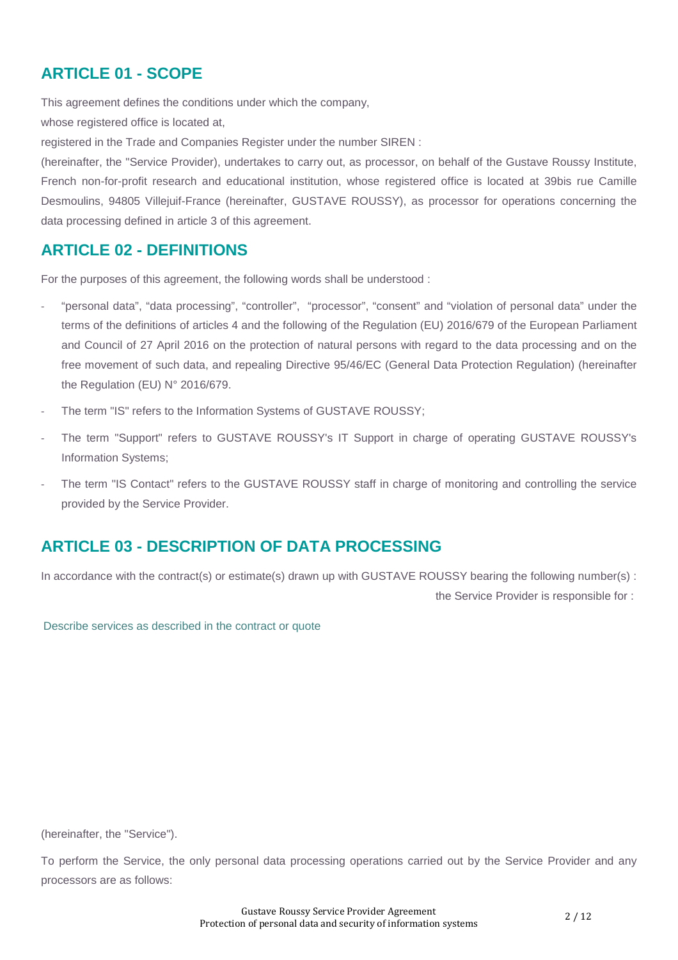## **ARTICLE 01 - SCOPE**

This agreement defines the conditions under which the company,

whose registered office is located at,

registered in the Trade and Companies Register under the number SIREN :

(hereinafter, the "Service Provider), undertakes to carry out, as processor, on behalf of the Gustave Roussy Institute, French non-for-profit research and educational institution, whose registered office is located at 39bis rue Camille Desmoulins, 94805 Villejuif-France (hereinafter, GUSTAVE ROUSSY), as processor for operations concerning the data processing defined in article 3 of this agreement.

#### **ARTICLE 02 - DEFINITIONS**

For the purposes of this agreement, the following words shall be understood :

- "personal data", "data processing", "controller", "processor", "consent" and "violation of personal data" under the terms of the definitions of articles 4 and the following of the Regulation (EU) 2016/679 of the European Parliament and Council of 27 April 2016 on the protection of natural persons with regard to the data processing and on the free movement of such data, and repealing Directive 95/46/EC (General Data Protection Regulation) (hereinafter the Regulation (EU) N° 2016/679.
- The term "IS" refers to the Information Systems of GUSTAVE ROUSSY;
- The term "Support" refers to GUSTAVE ROUSSY's IT Support in charge of operating GUSTAVE ROUSSY's Information Systems;
- The term "IS Contact" refers to the GUSTAVE ROUSSY staff in charge of monitoring and controlling the service provided by the Service Provider.

## **ARTICLE 03 - DESCRIPTION OF DATA PROCESSING**

In accordance with the contract(s) or estimate(s) drawn up with GUSTAVE ROUSSY bearing the following number(s) : the Service Provider is responsible for :

Describe services as described in the contract or quote

(hereinafter, the "Service").

To perform the Service, the only personal data processing operations carried out by the Service Provider and any processors are as follows: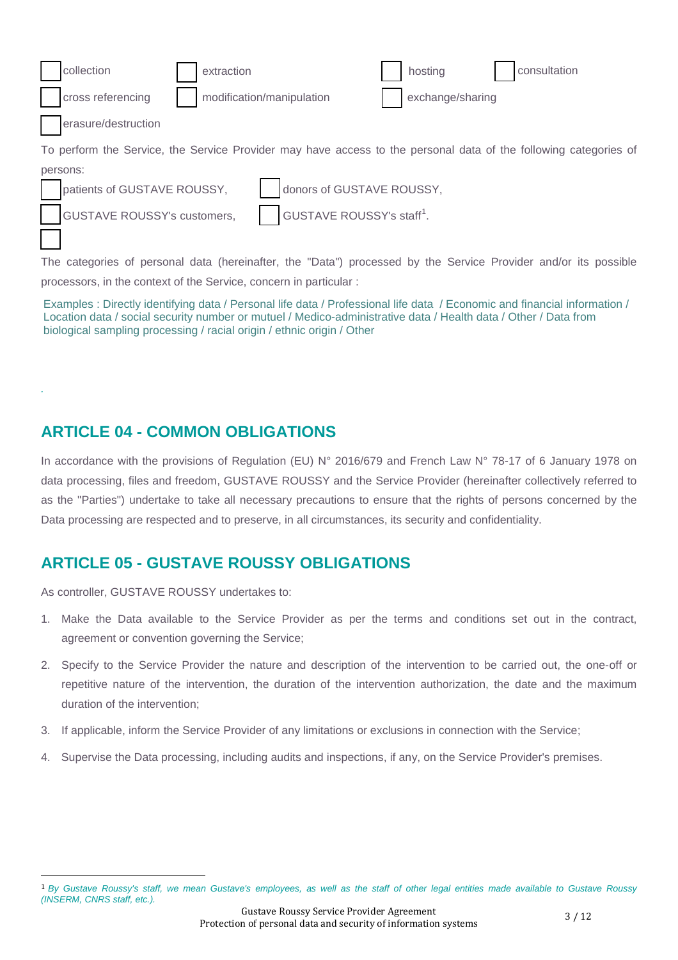|                                                                                                                  | collection                         | extraction                |                                       |  | hosting          | consultation |
|------------------------------------------------------------------------------------------------------------------|------------------------------------|---------------------------|---------------------------------------|--|------------------|--------------|
|                                                                                                                  | cross referencing                  |                           | modification/manipulation             |  | exchange/sharing |              |
| erasure/destruction                                                                                              |                                    |                           |                                       |  |                  |              |
| To perform the Service, the Service Provider may have access to the personal data of the following categories of |                                    |                           |                                       |  |                  |              |
|                                                                                                                  | persons:                           |                           |                                       |  |                  |              |
|                                                                                                                  | patients of GUSTAVE ROUSSY,        | donors of GUSTAVE ROUSSY, |                                       |  |                  |              |
|                                                                                                                  | <b>GUSTAVE ROUSSY's customers,</b> |                           | GUSTAVE ROUSSY's staff <sup>1</sup> . |  |                  |              |

The categories of personal data (hereinafter, the "Data") processed by the Service Provider and/or its possible processors, in the context of the Service, concern in particular :

Examples : Directly identifying data / Personal life data / Professional life data / Economic and financial information / Location data / social security number or mutuel / Medico-administrative data / Health data / Other / Data from biological sampling processing / racial origin / ethnic origin / Other

## **ARTICLE 04 - COMMON OBLIGATIONS**

*.* 

In accordance with the provisions of Regulation (EU) N° 2016/679 and French Law N° 78-17 of 6 January 1978 on data processing, files and freedom, GUSTAVE ROUSSY and the Service Provider (hereinafter collectively referred to as the "Parties") undertake to take all necessary precautions to ensure that the rights of persons concerned by the Data processing are respected and to preserve, in all circumstances, its security and confidentiality.

## **ARTICLE 05 - GUSTAVE ROUSSY OBLIGATIONS**

As controller, GUSTAVE ROUSSY undertakes to:

- 1. Make the Data available to the Service Provider as per the terms and conditions set out in the contract, agreement or convention governing the Service;
- 2. Specify to the Service Provider the nature and description of the intervention to be carried out, the one-off or repetitive nature of the intervention, the duration of the intervention authorization, the date and the maximum duration of the intervention;
- 3. If applicable, inform the Service Provider of any limitations or exclusions in connection with the Service;
- 4. Supervise the Data processing, including audits and inspections, if any, on the Service Provider's premises.

<span id="page-2-0"></span><sup>1</sup> *By Gustave Roussy's staff, we mean Gustave's employees, as well as the staff of other legal entities made available to Gustave Roussy (INSERM, CNRS staff, etc.).*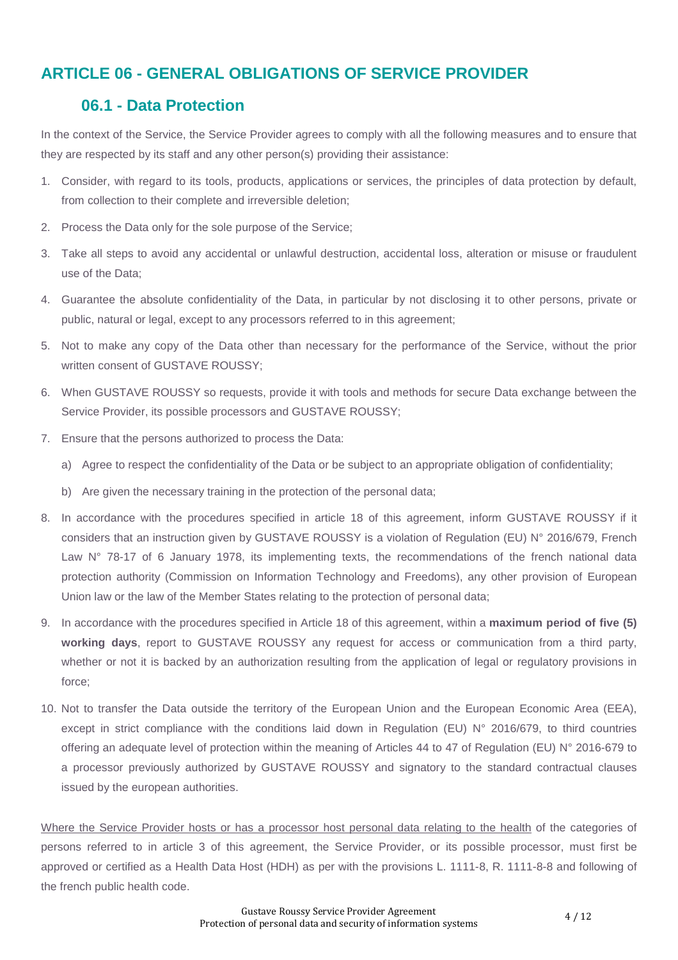## **ARTICLE 06 - GENERAL OBLIGATIONS OF SERVICE PROVIDER**

#### **06.1 - Data Protection**

In the context of the Service, the Service Provider agrees to comply with all the following measures and to ensure that they are respected by its staff and any other person(s) providing their assistance:

- 1. Consider, with regard to its tools, products, applications or services, the principles of data protection by default, from collection to their complete and irreversible deletion;
- 2. Process the Data only for the sole purpose of the Service;
- 3. Take all steps to avoid any accidental or unlawful destruction, accidental loss, alteration or misuse or fraudulent use of the Data;
- 4. Guarantee the absolute confidentiality of the Data, in particular by not disclosing it to other persons, private or public, natural or legal, except to any processors referred to in this agreement;
- 5. Not to make any copy of the Data other than necessary for the performance of the Service, without the prior written consent of GUSTAVE ROUSSY:
- 6. When GUSTAVE ROUSSY so requests, provide it with tools and methods for secure Data exchange between the Service Provider, its possible processors and GUSTAVE ROUSSY;
- 7. Ensure that the persons authorized to process the Data:
	- a) Agree to respect the confidentiality of the Data or be subject to an appropriate obligation of confidentiality;
	- b) Are given the necessary training in the protection of the personal data;
- 8. In accordance with the procedures specified in article 18 of this agreement, inform GUSTAVE ROUSSY if it considers that an instruction given by GUSTAVE ROUSSY is a violation of Regulation (EU) N° 2016/679, French Law N° 78-17 of 6 January 1978, its implementing texts, the recommendations of the french national data protection authority (Commission on Information Technology and Freedoms), any other provision of European Union law or the law of the Member States relating to the protection of personal data;
- 9. In accordance with the procedures specified in Article 18 of this agreement, within a **maximum period of five (5) working days**, report to GUSTAVE ROUSSY any request for access or communication from a third party, whether or not it is backed by an authorization resulting from the application of legal or regulatory provisions in force;
- 10. Not to transfer the Data outside the territory of the European Union and the European Economic Area (EEA), except in strict compliance with the conditions laid down in Regulation (EU) N° 2016/679, to third countries offering an adequate level of protection within the meaning of Articles 44 to 47 of Regulation (EU) N° 2016-679 to a processor previously authorized by GUSTAVE ROUSSY and signatory to the standard contractual clauses issued by the european authorities.

Where the Service Provider hosts or has a processor host personal data relating to the health of the categories of persons referred to in article 3 of this agreement, the Service Provider, or its possible processor, must first be approved or certified as a Health Data Host (HDH) as per with the provisions L. 1111-8, R. 1111-8-8 and following of the french public health code.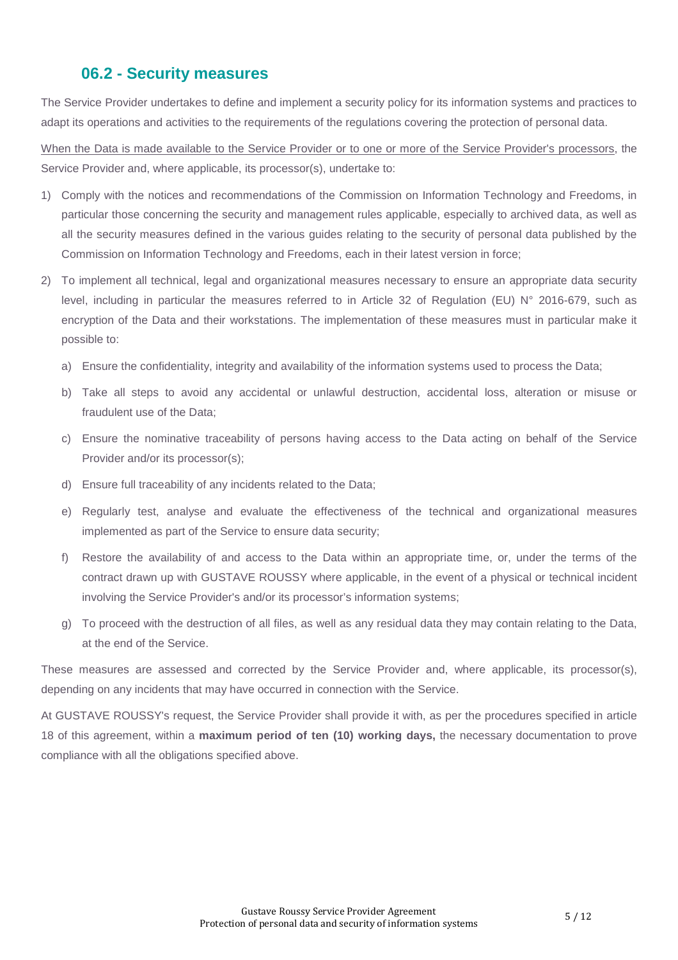#### **06.2 - Security measures**

The Service Provider undertakes to define and implement a security policy for its information systems and practices to adapt its operations and activities to the requirements of the regulations covering the protection of personal data.

When the Data is made available to the Service Provider or to one or more of the Service Provider's processors, the Service Provider and, where applicable, its processor(s), undertake to:

- 1) Comply with the notices and recommendations of the Commission on Information Technology and Freedoms, in particular those concerning the security and management rules applicable, especially to archived data, as well as all the security measures defined in the various guides relating to the security of personal data published by the Commission on Information Technology and Freedoms, each in their latest version in force;
- 2) To implement all technical, legal and organizational measures necessary to ensure an appropriate data security level, including in particular the measures referred to in Article 32 of Regulation (EU) N° 2016-679, such as encryption of the Data and their workstations. The implementation of these measures must in particular make it possible to:
	- a) Ensure the confidentiality, integrity and availability of the information systems used to process the Data;
	- b) Take all steps to avoid any accidental or unlawful destruction, accidental loss, alteration or misuse or fraudulent use of the Data;
	- c) Ensure the nominative traceability of persons having access to the Data acting on behalf of the Service Provider and/or its processor(s);
	- d) Ensure full traceability of any incidents related to the Data;
	- e) Regularly test, analyse and evaluate the effectiveness of the technical and organizational measures implemented as part of the Service to ensure data security;
	- f) Restore the availability of and access to the Data within an appropriate time, or, under the terms of the contract drawn up with GUSTAVE ROUSSY where applicable, in the event of a physical or technical incident involving the Service Provider's and/or its processor's information systems;
	- g) To proceed with the destruction of all files, as well as any residual data they may contain relating to the Data, at the end of the Service.

These measures are assessed and corrected by the Service Provider and, where applicable, its processor(s), depending on any incidents that may have occurred in connection with the Service.

At GUSTAVE ROUSSY's request, the Service Provider shall provide it with, as per the procedures specified in article 18 of this agreement, within a **maximum period of ten (10) working days,** the necessary documentation to prove compliance with all the obligations specified above.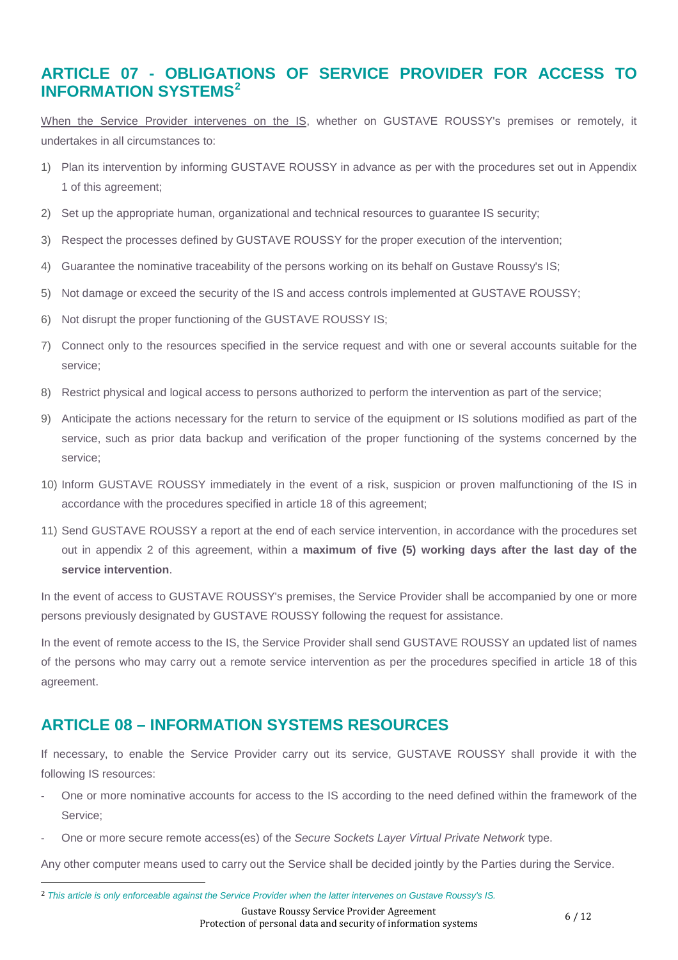## **ARTICLE 07 - OBLIGATIONS OF SERVICE PROVIDER FOR ACCESS TO INFORMATION SYSTEMS[2](#page-5-0)**

When the Service Provider intervenes on the IS, whether on GUSTAVE ROUSSY's premises or remotely, it undertakes in all circumstances to:

- 1) Plan its intervention by informing GUSTAVE ROUSSY in advance as per with the procedures set out in Appendix 1 of this agreement;
- 2) Set up the appropriate human, organizational and technical resources to guarantee IS security;
- 3) Respect the processes defined by GUSTAVE ROUSSY for the proper execution of the intervention;
- 4) Guarantee the nominative traceability of the persons working on its behalf on Gustave Roussy's IS;
- 5) Not damage or exceed the security of the IS and access controls implemented at GUSTAVE ROUSSY;
- 6) Not disrupt the proper functioning of the GUSTAVE ROUSSY IS;
- 7) Connect only to the resources specified in the service request and with one or several accounts suitable for the service;
- 8) Restrict physical and logical access to persons authorized to perform the intervention as part of the service;
- 9) Anticipate the actions necessary for the return to service of the equipment or IS solutions modified as part of the service, such as prior data backup and verification of the proper functioning of the systems concerned by the service;
- 10) Inform GUSTAVE ROUSSY immediately in the event of a risk, suspicion or proven malfunctioning of the IS in accordance with the procedures specified in article 18 of this agreement;
- 11) Send GUSTAVE ROUSSY a report at the end of each service intervention, in accordance with the procedures set out in appendix 2 of this agreement, within a **maximum of five (5) working days after the last day of the service intervention**.

In the event of access to GUSTAVE ROUSSY's premises, the Service Provider shall be accompanied by one or more persons previously designated by GUSTAVE ROUSSY following the request for assistance.

In the event of remote access to the IS, the Service Provider shall send GUSTAVE ROUSSY an updated list of names of the persons who may carry out a remote service intervention as per the procedures specified in article 18 of this agreement.

## **ARTICLE 08 – INFORMATION SYSTEMS RESOURCES**

If necessary, to enable the Service Provider carry out its service, GUSTAVE ROUSSY shall provide it with the following IS resources:

- One or more nominative accounts for access to the IS according to the need defined within the framework of the Service;
- One or more secure remote access(es) of the *Secure Sockets Layer Virtual Private Network* type.

Any other computer means used to carry out the Service shall be decided jointly by the Parties during the Service.

Gustave Roussy Service Provider Agreement Gustave Roussy Service Provider Agreement<br>Protection of personal data and security of information systems 6 / 12

<span id="page-5-0"></span> <sup>2</sup> *This article is only enforceable against the Service Provider when the latter intervenes on Gustave Roussy's IS.*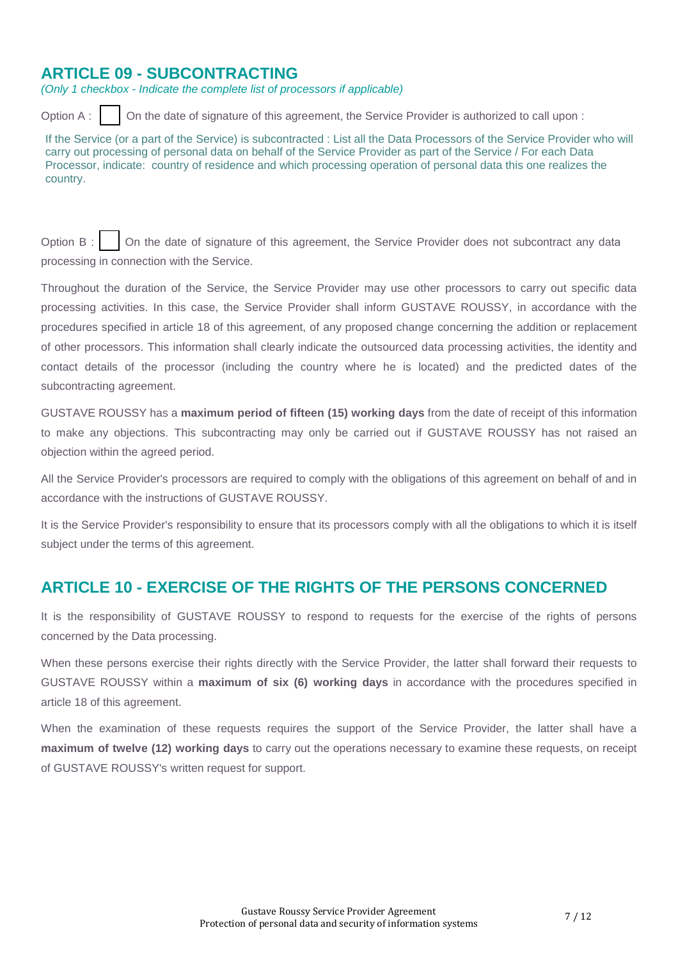## **ARTICLE 09 - SUBCONTRACTING**

*(Only 1 checkbox - Indicate the complete list of processors if applicable)*

Option A : | | On the date of signature of this agreement, the Service Provider is authorized to call upon :

If the Service (or a part of the Service) is subcontracted : List all the Data Processors of the Service Provider who will carry out processing of personal data on behalf of the Service Provider as part of the Service / For each Data Processor, indicate: country of residence and which processing operation of personal data this one realizes the country.

Option B : | | On the date of signature of this agreement, the Service Provider does not subcontract any data processing in connection with the Service.

Throughout the duration of the Service, the Service Provider may use other processors to carry out specific data processing activities. In this case, the Service Provider shall inform GUSTAVE ROUSSY, in accordance with the procedures specified in article 18 of this agreement, of any proposed change concerning the addition or replacement of other processors. This information shall clearly indicate the outsourced data processing activities, the identity and contact details of the processor (including the country where he is located) and the predicted dates of the subcontracting agreement.

GUSTAVE ROUSSY has a **maximum period of fifteen (15) working days** from the date of receipt of this information to make any objections. This subcontracting may only be carried out if GUSTAVE ROUSSY has not raised an objection within the agreed period.

All the Service Provider's processors are required to comply with the obligations of this agreement on behalf of and in accordance with the instructions of GUSTAVE ROUSSY.

It is the Service Provider's responsibility to ensure that its processors comply with all the obligations to which it is itself subject under the terms of this agreement.

## **ARTICLE 10 - EXERCISE OF THE RIGHTS OF THE PERSONS CONCERNED**

It is the responsibility of GUSTAVE ROUSSY to respond to requests for the exercise of the rights of persons concerned by the Data processing.

When these persons exercise their rights directly with the Service Provider, the latter shall forward their requests to GUSTAVE ROUSSY within a **maximum of six (6) working days** in accordance with the procedures specified in article 18 of this agreement.

When the examination of these requests requires the support of the Service Provider, the latter shall have a **maximum of twelve (12) working days** to carry out the operations necessary to examine these requests, on receipt of GUSTAVE ROUSSY's written request for support.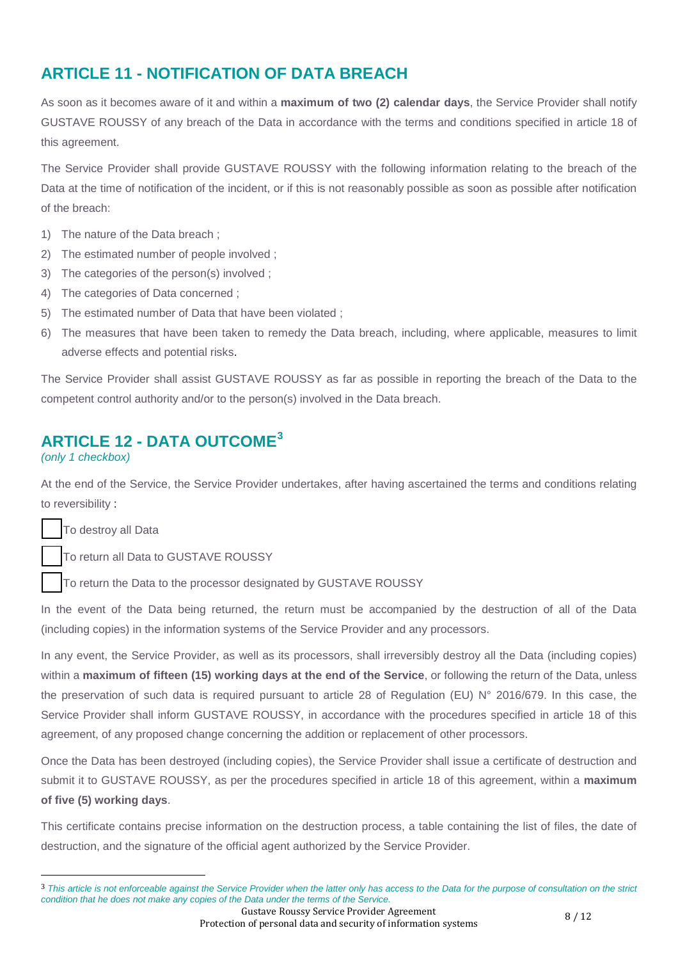## **ARTICLE 11 - NOTIFICATION OF DATA BREACH**

As soon as it becomes aware of it and within a **maximum of two (2) calendar days**, the Service Provider shall notify GUSTAVE ROUSSY of any breach of the Data in accordance with the terms and conditions specified in article 18 of this agreement.

The Service Provider shall provide GUSTAVE ROUSSY with the following information relating to the breach of the Data at the time of notification of the incident, or if this is not reasonably possible as soon as possible after notification of the breach:

- 1) The nature of the Data breach ;
- 2) The estimated number of people involved ;
- 3) The categories of the person(s) involved ;
- 4) The categories of Data concerned ;
- 5) The estimated number of Data that have been violated ;
- 6) The measures that have been taken to remedy the Data breach, including, where applicable, measures to limit adverse effects and potential risks.

The Service Provider shall assist GUSTAVE ROUSSY as far as possible in reporting the breach of the Data to the competent control authority and/or to the person(s) involved in the Data breach.

## **ARTICLE 12 - DATA OUTCOME[3](#page-7-0)**

#### *(only 1 checkbox)*

At the end of the Service, the Service Provider undertakes, after having ascertained the terms and conditions relating to reversibility :

To destroy all Data

To return all Data to GUSTAVE ROUSSY

To return the Data to the processor designated by GUSTAVE ROUSSY

In the event of the Data being returned, the return must be accompanied by the destruction of all of the Data (including copies) in the information systems of the Service Provider and any processors.

In any event, the Service Provider, as well as its processors, shall irreversibly destroy all the Data (including copies) within a **maximum of fifteen (15) working days at the end of the Service**, or following the return of the Data, unless the preservation of such data is required pursuant to article 28 of Regulation (EU) N° 2016/679. In this case, the Service Provider shall inform GUSTAVE ROUSSY, in accordance with the procedures specified in article 18 of this agreement, of any proposed change concerning the addition or replacement of other processors.

Once the Data has been destroyed (including copies), the Service Provider shall issue a certificate of destruction and submit it to GUSTAVE ROUSSY, as per the procedures specified in article 18 of this agreement, within a **maximum of five (5) working days**.

This certificate contains precise information on the destruction process, a table containing the list of files, the date of destruction, and the signature of the official agent authorized by the Service Provider.

Gustave Roussy Service Provider Agreement Gustave Roussy Service Provider Agreement<br>Protection of personal data and security of information systems 8 / 12

<span id="page-7-0"></span> <sup>3</sup> *This article is not enforceable against the Service Provider when the latter only has access to the Data for the purpose of consultation on the strict condition that he does not make any copies of the Data under the terms of the Service.*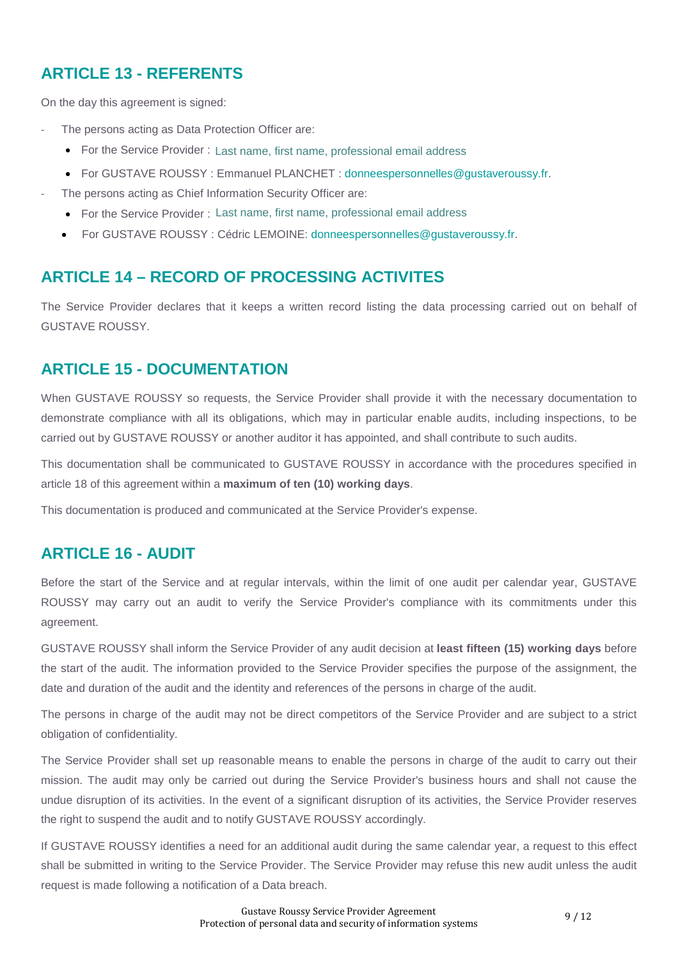## **ARTICLE 13 - REFERENTS**

On the day this agreement is signed:

- The persons acting as Data Protection Officer are:
	- For the Service Provider: Last name, first name, professional email address
	- For GUSTAVE ROUSSY : Emmanuel PLANCHET : donneespersonnelles@gustaveroussy.fr. Last name, first name, professional email address<br>Emmanuel PLANCHET : donneespersonnelles@g<br>formation Security Officer are:<br>Last name, first name, professional email address
	- The persons acting as Chief Information Security Officer are:
		- For the Service Provider : Last name, first name, professional email address
		- For GUSTAVE ROUSSY : Cédric LEMOINE: donneespersonnelles@gustaveroussy.fr.

## **ARTICLE 14 – RECORD OF PROCESSING ACTIVITES**

The Service Provider declares that it keeps a written record listing the data processing carried out on behalf of GUSTAVE ROUSSY.

## **ARTICLE 15 - DOCUMENTATION**

When GUSTAVE ROUSSY so requests, the Service Provider shall provide it with the necessary documentation to demonstrate compliance with all its obligations, which may in particular enable audits, including inspections, to be carried out by GUSTAVE ROUSSY or another auditor it has appointed, and shall contribute to such audits.

This documentation shall be communicated to GUSTAVE ROUSSY in accordance with the procedures specified in article 18 of this agreement within a **maximum of ten (10) working days**.

This documentation is produced and communicated at the Service Provider's expense.

## **ARTICLE 16 - AUDIT**

Before the start of the Service and at regular intervals, within the limit of one audit per calendar year, GUSTAVE ROUSSY may carry out an audit to verify the Service Provider's compliance with its commitments under this agreement.

GUSTAVE ROUSSY shall inform the Service Provider of any audit decision at **least fifteen (15) working days** before the start of the audit. The information provided to the Service Provider specifies the purpose of the assignment, the date and duration of the audit and the identity and references of the persons in charge of the audit.

The persons in charge of the audit may not be direct competitors of the Service Provider and are subject to a strict obligation of confidentiality.

The Service Provider shall set up reasonable means to enable the persons in charge of the audit to carry out their mission. The audit may only be carried out during the Service Provider's business hours and shall not cause the undue disruption of its activities. In the event of a significant disruption of its activities, the Service Provider reserves the right to suspend the audit and to notify GUSTAVE ROUSSY accordingly.

If GUSTAVE ROUSSY identifies a need for an additional audit during the same calendar year, a request to this effect shall be submitted in writing to the Service Provider. The Service Provider may refuse this new audit unless the audit request is made following a notification of a Data breach.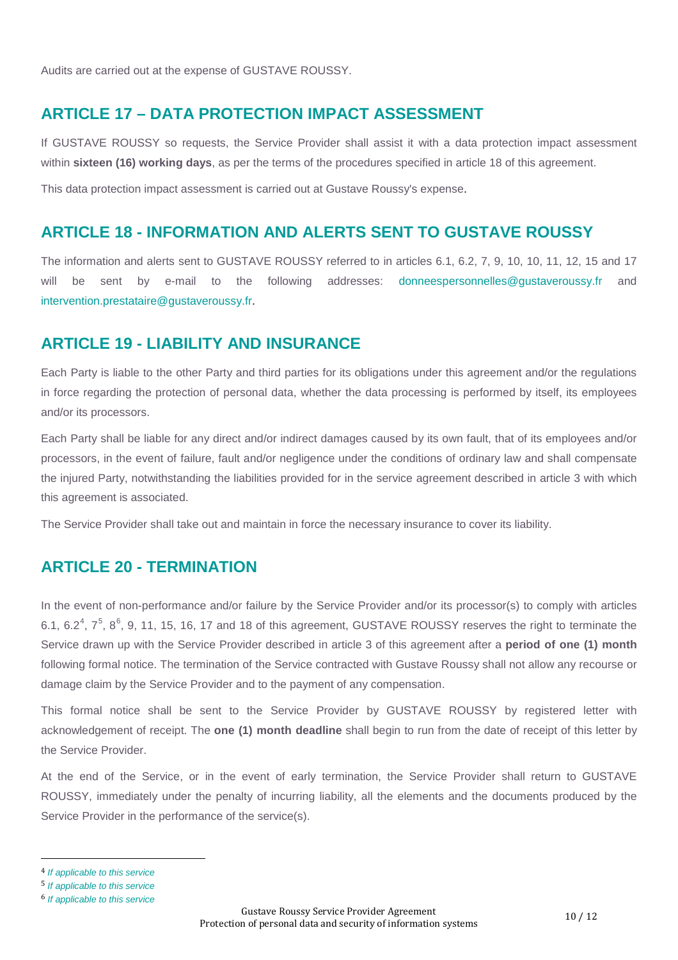Audits are carried out at the expense of GUSTAVE ROUSSY.

#### **ARTICLE 17 – DATA PROTECTION IMPACT ASSESSMENT**

If GUSTAVE ROUSSY so requests, the Service Provider shall assist it with a data protection impact assessment within **sixteen (16) working days**, as per the terms of the procedures specified in article 18 of this agreement.

This data protection impact assessment is carried out at Gustave Roussy's expense.

#### **ARTICLE 18 - INFORMATION AND ALERTS SENT TO GUSTAVE ROUSSY**

The information and alerts sent to GUSTAVE ROUSSY referred to in articles 6.1, 6.2, 7, 9, 10, 10, 11, 12, 15 and 17 will be sent by e-mail to the following addresses: donneespersonnelles@gustaveroussy.fr and intervention.prestataire@gustaveroussy.fr.

#### **ARTICLE 19 - LIABILITY AND INSURANCE**

Each Party is liable to the other Party and third parties for its obligations under this agreement and/or the regulations in force regarding the protection of personal data, whether the data processing is performed by itself, its employees and/or its processors.

Each Party shall be liable for any direct and/or indirect damages caused by its own fault, that of its employees and/or processors, in the event of failure, fault and/or negligence under the conditions of ordinary law and shall compensate the injured Party, notwithstanding the liabilities provided for in the service agreement described in article 3 with which this agreement is associated.

The Service Provider shall take out and maintain in force the necessary insurance to cover its liability.

#### **ARTICLE 20 - TERMINATION**

In the event of non-performance and/or failure by the Service Provider and/or its processor(s) to comply with articles 6.1, 6.2<sup>[4](#page-9-0)</sup>, 7<sup>[5](#page-9-1)</sup>, 8<sup>[6](#page-9-2)</sup>, 9, 11, 15, 16, 17 and 18 of this agreement, GUSTAVE ROUSSY reserves the right to terminate the Service drawn up with the Service Provider described in article 3 of this agreement after a **period of one (1) month** following formal notice. The termination of the Service contracted with Gustave Roussy shall not allow any recourse or damage claim by the Service Provider and to the payment of any compensation.

This formal notice shall be sent to the Service Provider by GUSTAVE ROUSSY by registered letter with acknowledgement of receipt. The **one (1) month deadline** shall begin to run from the date of receipt of this letter by the Service Provider.

At the end of the Service, or in the event of early termination, the Service Provider shall return to GUSTAVE ROUSSY, immediately under the penalty of incurring liability, all the elements and the documents produced by the Service Provider in the performance of the service(s).

<span id="page-9-0"></span> <sup>4</sup> *If applicable to this service*

<span id="page-9-1"></span><sup>5</sup> *If applicable to this service*

<span id="page-9-2"></span><sup>6</sup> *If applicable to this service*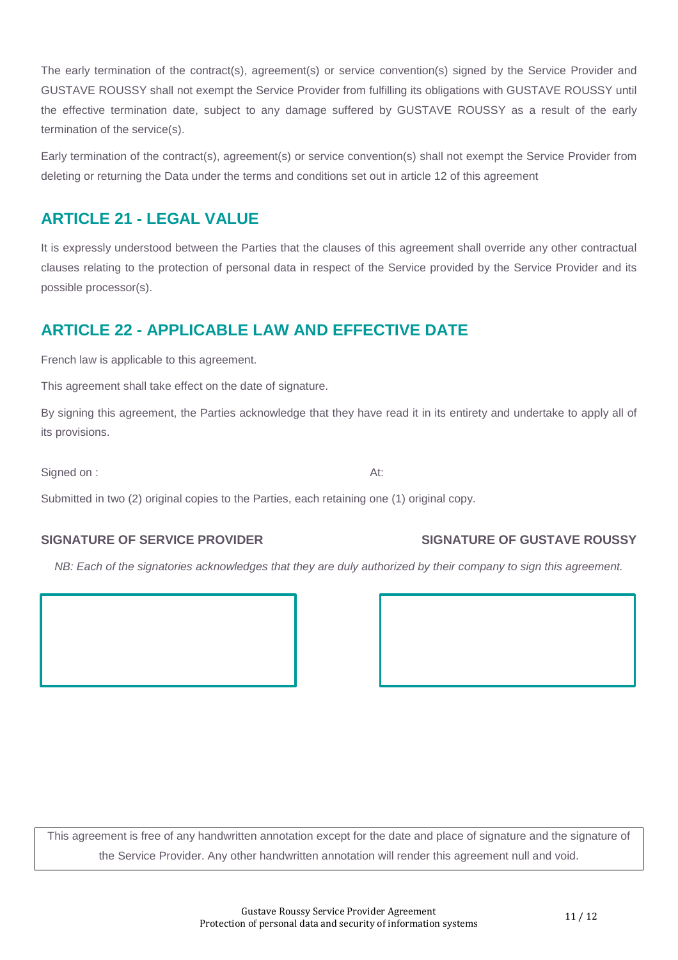The early termination of the contract(s), agreement(s) or service convention(s) signed by the Service Provider and GUSTAVE ROUSSY shall not exempt the Service Provider from fulfilling its obligations with GUSTAVE ROUSSY until the effective termination date, subject to any damage suffered by GUSTAVE ROUSSY as a result of the early termination of the service(s).

Early termination of the contract(s), agreement(s) or service convention(s) shall not exempt the Service Provider from deleting or returning the Data under the terms and conditions set out in article 12 of this agreement

## **ARTICLE 21 - LEGAL VALUE**

It is expressly understood between the Parties that the clauses of this agreement shall override any other contractual clauses relating to the protection of personal data in respect of the Service provided by the Service Provider and its possible processor(s).

## **ARTICLE 22 - APPLICABLE LAW AND EFFECTIVE DATE**

French law is applicable to this agreement.

This agreement shall take effect on the date of signature.

By signing this agreement, the Parties acknowledge that they have read it in its entirety and undertake to apply all of its provisions.

Signed on : At:

Submitted in two (2) original copies to the Parties, each retaining one (1) original copy.

#### SIGNATURE OF SERVICE PROVIDER SIGNATURE OF GUSTAVE ROUSSY

*NB: Each of the signatories acknowledges that they are duly authorized by their company to sign this agreement.*

This agreement is free of any handwritten annotation except for the date and place of signature and the signature of the Service Provider. Any other handwritten annotation will render this agreement null and void.